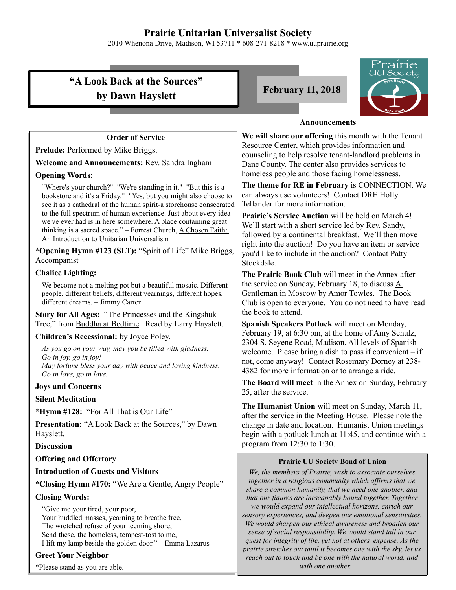## **Prairie Unitarian Universalist Society**

2010 Whenona Drive, Madison, WI 53711 \* 608-271-8218 \* www.uuprairie.org

# **"A Look Back at the Sources"** by Dawn Hayslett **February 11, 2018**

**Order of Service**



## **Announcements**

**Welcome and Announcements:** Rev. Sandra Ingham

## **Opening Words:**

**Prelude:** Performed by Mike Briggs.

"Where's your church?" "We're standing in it." "But this is a bookstore and it's a Friday." "Yes, but you might also choose to see it as a cathedral of the human spirit-a storehouse consecrated to the full spectrum of human experience. Just about every idea we've ever had is in here somewhere. A place containing great thinking is a sacred space." – Forrest Church, A Chosen Faith: An Introduction to Unitarian Universalism

**\*Opening Hymn #123 (SLT):** "Spirit of Life" Mike Briggs, Accompanist

## **Chalice Lighting:**

We become not a melting pot but a beautiful mosaic. Different people, different beliefs, different yearnings, different hopes, different dreams. – Jimmy Carter

**Story for All Ages:** "The Princesses and the Kingshuk Tree," from Buddha at Bedtime. Read by Larry Hayslett.

#### **Children's Recessional:** by Joyce Poley.

*As you go on your way, may you be filled with gladness. Go in joy, go in joy! May fortune bless your day with peace and loving kindness. Go in love, go in love.*

#### **Joys and Concerns**

#### **Silent Meditation**

**\*Hymn #128:** "For All That is Our Life"

**Presentation:** "A Look Back at the Sources," by Dawn Hayslett.

#### **Discussion**

### **Offering and Offertory**

### **Introduction of Guests and Visitors**

**\*Closing Hymn #170:** "We Are a Gentle, Angry People"

#### **Closing Words:**

"Give me your tired, your poor, Your huddled masses, yearning to breathe free, The wretched refuse of your teeming shore, Send these, the homeless, tempest-tost to me, I lift my lamp beside the golden door." – Emma Lazarus

## **Greet Your Neighbor**

\*Please stand as you are able.

**We will share our offering** this month with the Tenant Resource Center, which provides information and counseling to help resolve tenant-landlord problems in Dane County. The center also provides services to homeless people and those facing homelessness.

**The theme for RE in February** is CONNECTION. We can always use volunteers! Contact DRE Holly Tellander for more information.

**Prairie's Service Auction** will be held on March 4! We'll start with a short service led by Rev. Sandy, followed by a continental breakfast. We'll then move right into the auction! Do you have an item or service you'd like to include in the auction? Contact Patty Stockdale.

**The Prairie Book Club** will meet in the Annex after the service on Sunday, February 18, to discuss A Gentleman in Moscow by Amor Towles. The Book Club is open to everyone. You do not need to have read the book to attend.

**Spanish Speakers Potluck** will meet on Monday, February 19, at 6:30 pm, at the home of Amy Schulz, 2304 S. Seyene Road, Madison. All levels of Spanish welcome. Please bring a dish to pass if convenient  $-$  if not, come anyway! Contact Rosemary Dorney at 238- 4382 for more information or to arrange a ride.

**The Board will meet** in the Annex on Sunday, February 25, after the service.

**The Humanist Union** will meet on Sunday, March 11, after the service in the Meeting House. Please note the change in date and location. Humanist Union meetings begin with a potluck lunch at 11:45, and continue with a program from 12:30 to 1:30.

#### **Prairie UU Society Bond of Union**

*We, the members of Prairie, wish to associate ourselves together in a religious community which affirms that we share a common humanity, that we need one another, and that our futures are inescapably bound together. Together we would expand our intellectual horizons, enrich our sensory experiences, and deepen our emotional sensitivities. We would sharpen our ethical awareness and broaden our sense of social responsibility. We would stand tall in our quest for integrity of life, yet not at others' expense. As the prairie stretches out until it becomes one with the sky, let us reach out to touch and be one with the natural world, and with one another.*